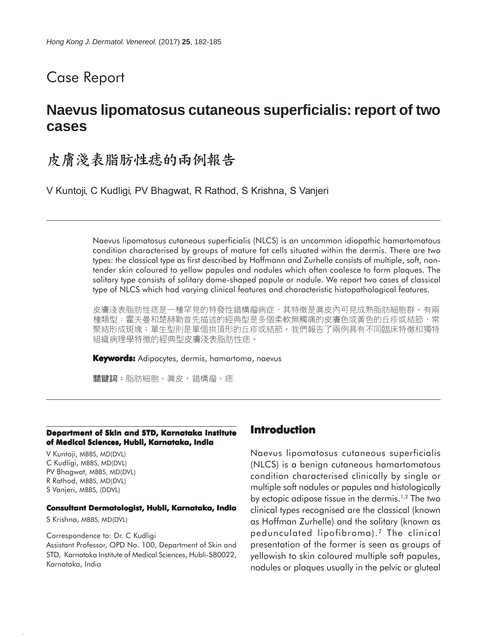# Case Report

# **Naevus lipomatosus cutaneous superficialis: report of two cases**

# 皮膚淺表脂肪性痣的兩例報告

V Kuntoji, C Kudligi, PV Bhagwat, R Rathod, S Krishna, S Vanjeri

Naevus lipomatosus cutaneous superficialis (NLCS) is an uncommon idiopathic hamartomatous condition characterised by groups of mature fat cells situated within the dermis. There are two types: the classical type as first described by Hoffmann and Zurhelle consists of multiple, soft, nontender skin coloured to yellow papules and nodules which often coalesce to form plaques. The solitary type consists of solitary dome-shaped papule or nodule. We report two cases of classical type of NLCS which had varying clinical features and characteristic histopathological features.

皮膚淺表脂肪性痣是一種罕見的特發性錯構瘤病症,其特徵是眞皮內可見成熟脂肪細胞群。有兩 種類型:霍夫曼和楚赫勒首先描述的經典型是多個柔軟無觸痛的皮膚色或黃色的丘疹或結節,常 聚結形成斑塊;單生型則是單個拱頂形的丘疹或結節。我們報告了兩例具有不同臨床特徵和獨特 組織病理學特徵的經典型皮膚淺表脂肪性痣。

**Keywords:** Adipocytes, dermis, hamartoma, naevus

關鍵詞:脂肪細胞、真皮、錯構瘤、痣

#### **Department of Skin and STD, Karnataka Institute of Medical Sciences, Hubli, Karnataka, India**

V Kuntoji, MBBS, MD(DVL) C Kudligi, MBBS, MD(DVL) PV Bhagwat, MBBS, MD(DVL) R Rathod, MBBS, MD(DVL) S Vanjeri, MBBS, (DDVL)

#### **Consultant Dermatologist, Hubli, Karnataka, India**

S Krishna, MBBS, MD(DVL)

Correspondence to: Dr. C Kudligi Assistant Professor, OPD No. 100, Department of Skin and STD, Karnataka Institute of Medical Sciences, Hubli-580022, Karnataka, India

## **Introduction**

Naevus lipomatosus cutaneous superficialis (NLCS) is a benign cutaneous hamartomatous condition characterised clinically by single or multiple soft nodules or papules and histologically by ectopic adipose tissue in the dermis.<sup>1,2</sup> The two clinical types recognised are the classical (known as Hoffman Zurhelle) and the solitary (known as pedunculated lipofibroma).2 The clinical presentation of the former is seen as groups of yellowish to skin coloured multiple soft papules, nodules or plaques usually in the pelvic or gluteal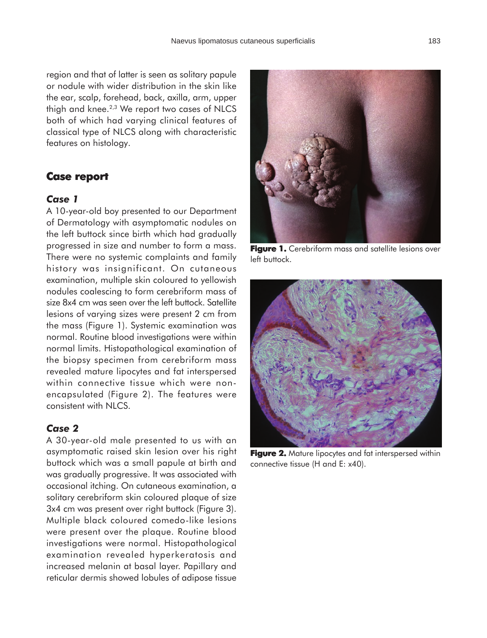region and that of latter is seen as solitary papule or nodule with wider distribution in the skin like the ear, scalp, forehead, back, axilla, arm, upper thigh and knee.<sup>2,3</sup> We report two cases of NLCS both of which had varying clinical features of classical type of NLCS along with characteristic features on histology.

### **Case report Case report**

#### *Case 1*

A 10-year-old boy presented to our Department of Dermatology with asymptomatic nodules on the left buttock since birth which had gradually progressed in size and number to form a mass. There were no systemic complaints and family history was insignificant. On cutaneous examination, multiple skin coloured to yellowish nodules coalescing to form cerebriform mass of size 8x4 cm was seen over the left buttock. Satellite lesions of varying sizes were present 2 cm from the mass (Figure 1). Systemic examination was normal. Routine blood investigations were within normal limits. Histopathological examination of the biopsy specimen from cerebriform mass revealed mature lipocytes and fat interspersed within connective tissue which were nonencapsulated (Figure 2). The features were consistent with NLCS.

#### *Case 2*

A 30-year-old male presented to us with an asymptomatic raised skin lesion over his right buttock which was a small papule at birth and was gradually progressive. It was associated with occasional itching. On cutaneous examination, a solitary cerebriform skin coloured plaque of size 3x4 cm was present over right buttock (Figure 3). Multiple black coloured comedo-like lesions were present over the plaque. Routine blood investigations were normal. Histopathological examination revealed hyperkeratosis and increased melanin at basal layer. Papillary and reticular dermis showed lobules of adipose tissue



**Figure 1.** Cerebriform mass and satellite lesions over left buttock.



**Figure 2.** Mature lipocytes and fat interspersed within connective tissue (H and E: x40).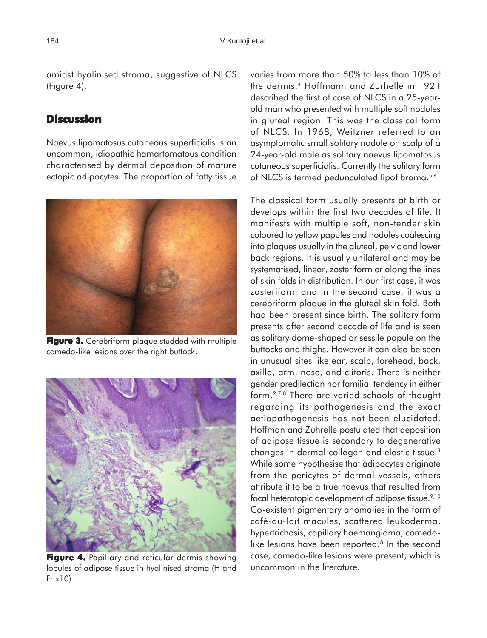amidst hyalinised stroma, suggestive of NLCS (Figure 4).

### **Discussion**

Naevus lipomatosus cutaneous superficialis is an uncommon, idiopathic hamartomatous condition characterised by dermal deposition of mature ectopic adipocytes. The proportion of fatty tissue



**Figure 3.** Cerebriform plaque studded with multiple comedo-like lesions over the right buttock.



**Figure 4.** Papillary and reticular dermis showing lobules of adipose tissue in hyalinised stroma (H and E: x10).

varies from more than 50% to less than 10% of the dermis.4 Hoffmann and Zurhelle in 1921 described the first of case of NLCS in a 25-yearold man who presented with multiple soft nodules in gluteal region. This was the classical form of NLCS. In 1968, Weitzner referred to an asymptomatic small solitary nodule on scalp of a 24-year-old male as solitary naevus lipomatosus cutaneous superficialis. Currently the solitary form of NLCS is termed pedunculated lipofibroma.5,6

The classical form usually presents at birth or develops within the first two decades of life. It manifests with multiple soft, non-tender skin coloured to yellow papules and nodules coalescing into plaques usually in the gluteal, pelvic and lower back regions. It is usually unilateral and may be systematised, linear, zosteriform or along the lines of skin folds in distribution. In our first case, it was zosteriform and in the second case, it was a cerebriform plaque in the gluteal skin fold. Both had been present since birth. The solitary form presents after second decade of life and is seen as solitary dome-shaped or sessile papule on the buttocks and thighs. However it can also be seen in unusual sites like ear, scalp, forehead, back, axilla, arm, nose, and clitoris. There is neither gender predilection nor familial tendency in either form.2,7,8 There are varied schools of thought regarding its pathogenesis and the exact aetiopathogenesis has not been elucidated. Hoffman and Zuhrelle postulated that deposition of adipose tissue is secondary to degenerative changes in dermal collagen and elastic tissue.3 While some hypothesise that adipocytes originate from the pericytes of dermal vessels, others attribute it to be a true naevus that resulted from focal heterotopic development of adipose tissue.<sup>9,10</sup> Co-existent pigmentary anomalies in the form of café-au-lait macules, scattered leukoderma, hypertrichosis, capillary haemangioma, comedolike lesions have been reported.<sup>8</sup> In the second case, comedo-like lesions were present, which is uncommon in the literature.